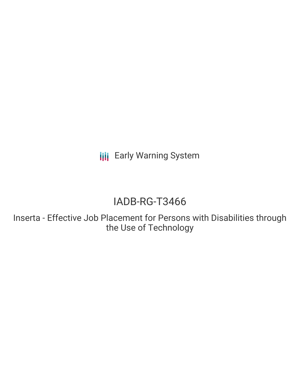**III** Early Warning System

# IADB-RG-T3466

Inserta - Effective Job Placement for Persons with Disabilities through the Use of Technology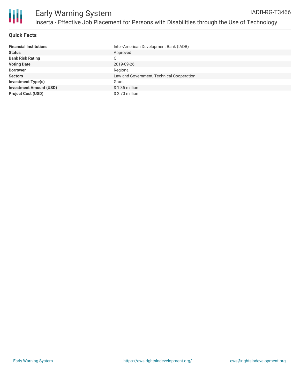

## **Quick Facts**

| <b>Financial Institutions</b>  | Inter-American Development Bank (IADB)    |
|--------------------------------|-------------------------------------------|
| <b>Status</b>                  | Approved                                  |
| <b>Bank Risk Rating</b>        | C                                         |
| <b>Voting Date</b>             | 2019-09-26                                |
| <b>Borrower</b>                | Regional                                  |
| <b>Sectors</b>                 | Law and Government, Technical Cooperation |
| <b>Investment Type(s)</b>      | Grant                                     |
| <b>Investment Amount (USD)</b> | $$1.35$ million                           |
| <b>Project Cost (USD)</b>      | \$2.70 million                            |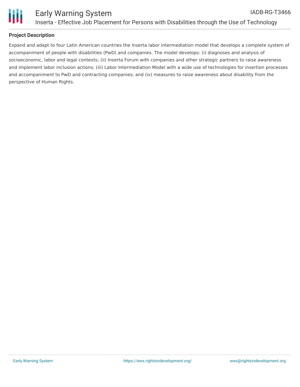

## **Project Description**

Expand and adapt to four Latin American countries the Inserta labor intermediation model that develops a complete system of accompaniment of people with disabilities (PwD) and companies. The model develops: (i) diagnoses and analysis of socioeconomic, labor and legal contexts; (ii) Inserta Forum with companies and other strategic partners to raise awareness and implement labor inclusion actions; (iii) Labor Intermediation Model with a wide use of technologies for insertion processes and accompaniment to PwD and contracting companies; and (iv) measures to raise awareness about disability from the perspective of Human Rights.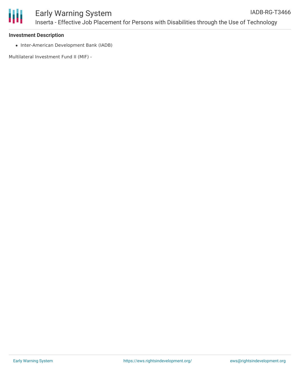

#### **Investment Description**

• Inter-American Development Bank (IADB)

Multilateral Investment Fund II (MIF) -